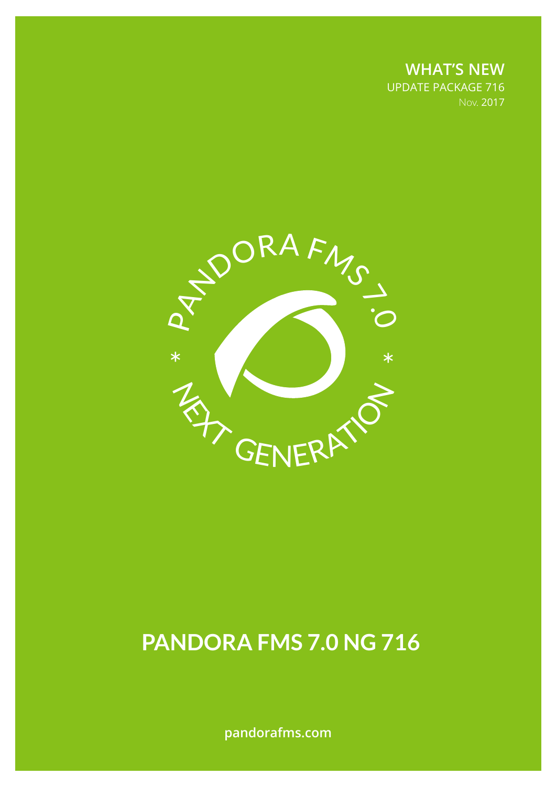**WHAT'S NEW** UPDATE PACKAGE 716 Nov. 2017



# **PANDORA FMS 7.0 NG 716**

**pandorafms.com**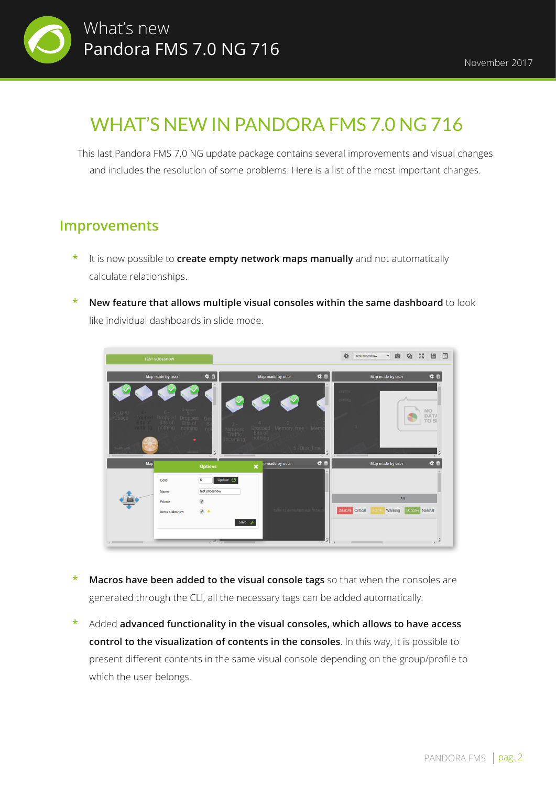

## WHAT'S NEW IN PANDORA FMS 7.0 NG 716

This last Pandora FMS 7.0 NG update package contains several improvements and visual changes and includes the resolution of some problems. Here is a list of the most important changes.

#### **Improvements**

- **\*** It is now possible to **create empty network maps manually** and not automatically calculate relationships.
- **\* New feature that allows multiple visual consoles within the same dashboard** to look like individual dashboards in slide mode.



- **Macros have been added to the visual console tags** so that when the consoles are generated through the CLI, all the necessary tags can be added automatically.
- **\*** Added **advanced functionality in the visual consoles, which allows to have access control to the visualization of contents in the consoles**. In this way, it is possible to present different contents in the same visual console depending on the group/profile to which the user belongs.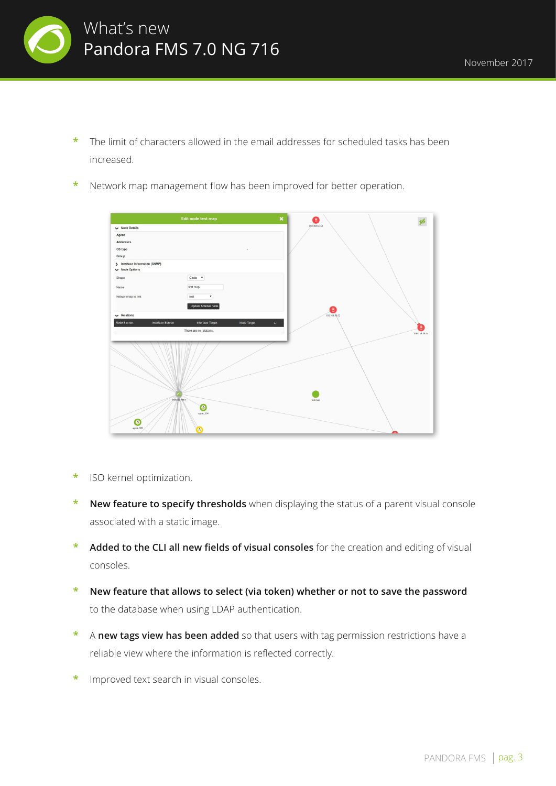

- **\*** The limit of characters allowed in the email addresses for scheduled tasks has been increased.
- **\*** Network map management flow has been improved for better operation.

| $\pmb{\times}$<br>Edit node test map                                                         | €                  |
|----------------------------------------------------------------------------------------------|--------------------|
| $\vee$ Node Details                                                                          | 192.168.50.51      |
| Agent                                                                                        |                    |
| <b>Addresses</b><br>OS type                                                                  |                    |
| Group                                                                                        |                    |
| > Interface Information (SNMP)<br>Wode Options                                               |                    |
| Circle v<br>Shape                                                                            |                    |
| test map<br>Name                                                                             |                    |
| test<br>$\pmb{\mathrm{v}}$<br>Networkmap to link                                             |                    |
| Update fictional node                                                                        |                    |
| $\vee$ Relations                                                                             | 0<br>192.168.50.52 |
| E<br>Node Source<br><b>Interface Target</b><br><b>Node Target</b><br><b>Interface Source</b> |                    |
| There are no relations.                                                                      | B<br>192.168.50.14 |
|                                                                                              |                    |
|                                                                                              |                    |
|                                                                                              |                    |
| Pimdaka PMS<br>$\circ$<br>agent_114<br>۵<br>agent_106<br>$\bullet$                           | test map           |

- **\*** ISO kernel optimization.
- **\* New feature to specify thresholds** when displaying the status of a parent visual console associated with a static image.
- **\* Added to the CLI all new fields of visual consoles** for the creation and editing of visual consoles.
- **\* New feature that allows to select (via token) whether or not to save the password**  to the database when using LDAP authentication.
- **\*** A **new tags view has been added** so that users with tag permission restrictions have a reliable view where the information is reflected correctly.
- **\*** Improved text search in visual consoles.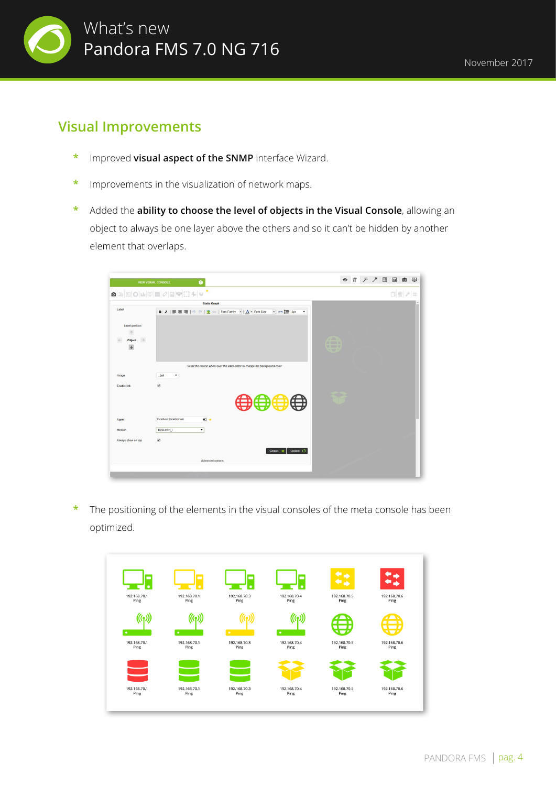

#### **Visual Improvements**

- **\*** Improved **visual aspect of the SNMP** interface Wizard.
- **\*** Improvements in the visualization of network maps.
- **\*** Added the **ability to choose the level of objects in the Visual Console**, allowing an object to always be one layer above the others and so it can't be hidden by another element that overlaps.

|                         | $\textcolor{blue}{\blacksquare\textcolor{blue}{\bowtie}}\textcolor{blue}{ \boxtimes }\textcolor{blue}{\mathsf{O}} \textcolor{blue}{\blacksquare}\textcolor{blue}{ \boxtimes }\textcolor{blue}{\blacksquare}\textcolor{blue}{ \mathcal{O} }\textcolor{blue}{\blacksquare}\textcolor{blue}{ \mathcal{O} }\textcolor{blue}{\blacksquare}\textcolor{blue}{ \mathcal{O} }\textcolor{blue}{\blacksquare}\textcolor{blue}{ \mathcal{O} }\textcolor{blue}{\blacksquare}\textcolor{blue}{ \mathcal{O} }\textcolor{blue}{\blacksquare}\textcolor{blue}{ \mathcal{O} }\textcolor{blue}{\blacksquare}\textcolor{blue}{ \mathcal{O} }\textcolor{$ | $\Box  \,\widehat{\mathbb{U}}\,  \,\mathscr{F}  \,\mathop{\mathrm{+}}$ |
|-------------------------|--------------------------------------------------------------------------------------------------------------------------------------------------------------------------------------------------------------------------------------------------------------------------------------------------------------------------------------------------------------------------------------------------------------------------------------------------------------------------------------------------------------------------------------------------------------------------------------------------------------------------------------|------------------------------------------------------------------------|
| Label                   | <b>Static Graph</b>                                                                                                                                                                                                                                                                                                                                                                                                                                                                                                                                                                                                                  |                                                                        |
|                         | $\mathbf v$                                                                                                                                                                                                                                                                                                                                                                                                                                                                                                                                                                                                                          |                                                                        |
| Label position          |                                                                                                                                                                                                                                                                                                                                                                                                                                                                                                                                                                                                                                      |                                                                        |
| $\uparrow$              |                                                                                                                                                                                                                                                                                                                                                                                                                                                                                                                                                                                                                                      |                                                                        |
| $\rightarrow$<br>Object |                                                                                                                                                                                                                                                                                                                                                                                                                                                                                                                                                                                                                                      | 200                                                                    |
| $\downarrow$            |                                                                                                                                                                                                                                                                                                                                                                                                                                                                                                                                                                                                                                      | or more to<br><b>VA MODE OF</b><br><b>NWO</b>                          |
|                         |                                                                                                                                                                                                                                                                                                                                                                                                                                                                                                                                                                                                                                      |                                                                        |
|                         | Scroll the mouse wheel over the label editor to change the background color                                                                                                                                                                                                                                                                                                                                                                                                                                                                                                                                                          |                                                                        |
| Image                   | $\pmb{\mathrm{v}}$<br>ball                                                                                                                                                                                                                                                                                                                                                                                                                                                                                                                                                                                                           |                                                                        |
|                         |                                                                                                                                                                                                                                                                                                                                                                                                                                                                                                                                                                                                                                      |                                                                        |
| Enable link             | $\overline{\mathcal{L}}$                                                                                                                                                                                                                                                                                                                                                                                                                                                                                                                                                                                                             |                                                                        |
|                         |                                                                                                                                                                                                                                                                                                                                                                                                                                                                                                                                                                                                                                      |                                                                        |
|                         | ⇔⇔                                                                                                                                                                                                                                                                                                                                                                                                                                                                                                                                                                                                                                   |                                                                        |
|                         |                                                                                                                                                                                                                                                                                                                                                                                                                                                                                                                                                                                                                                      |                                                                        |
| Agent                   | $\bullet$<br>localhost.localdomain                                                                                                                                                                                                                                                                                                                                                                                                                                                                                                                                                                                                   |                                                                        |
| Module                  | ۰<br>DiskUsed_/                                                                                                                                                                                                                                                                                                                                                                                                                                                                                                                                                                                                                      |                                                                        |
| Always show on top      | $\overline{\mathcal{L}}$                                                                                                                                                                                                                                                                                                                                                                                                                                                                                                                                                                                                             |                                                                        |
|                         |                                                                                                                                                                                                                                                                                                                                                                                                                                                                                                                                                                                                                                      |                                                                        |
|                         | Update (5<br>Cancel                                                                                                                                                                                                                                                                                                                                                                                                                                                                                                                                                                                                                  |                                                                        |
|                         | Advanced options                                                                                                                                                                                                                                                                                                                                                                                                                                                                                                                                                                                                                     |                                                                        |

**\*** The positioning of the elements in the visual consoles of the meta console has been optimized.